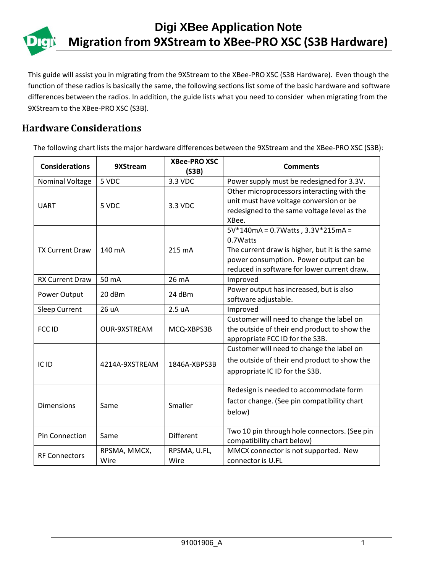This guide will assist you in migrating from the 9XStream to the XBee-PRO XSC (S3B Hardware). Even though the function of these radios is basically the same, the following sections list some of the basic hardware and software differences between the radios. In addition, the guide lists what you need to consider when migrating from the 9XStream to the XBee-PRO XSC (S3B).

## **Hardware Considerations**

The following chart lists the major hardware differences between the 9XStream and the XBee-PRO XSC (S3B):

| <b>Considerations</b>  | 9XStream             | <b>XBee-PRO XSC</b><br>(S3B) | <b>Comments</b>                                                                                                                                                                          |  |
|------------------------|----------------------|------------------------------|------------------------------------------------------------------------------------------------------------------------------------------------------------------------------------------|--|
| Nominal Voltage        | 5 VDC                | 3.3 VDC                      | Power supply must be redesigned for 3.3V.                                                                                                                                                |  |
| <b>UART</b>            | 5 VDC                | 3.3 VDC                      | Other microprocessors interacting with the<br>unit must have voltage conversion or be<br>redesigned to the same voltage level as the<br>XBee.                                            |  |
| <b>TX Current Draw</b> | 140 mA               | 215 mA                       | 5V*140mA = 0.7Watts, 3.3V*215mA =<br>0.7Watts<br>The current draw is higher, but it is the same<br>power consumption. Power output can be<br>reduced in software for lower current draw. |  |
| <b>RX Current Draw</b> | 50 mA                | 26 mA                        | Improved                                                                                                                                                                                 |  |
| Power Output           | 20 dBm               | 24 dBm                       | Power output has increased, but is also<br>software adjustable.                                                                                                                          |  |
| <b>Sleep Current</b>   | 26 uA                | 2.5 uA                       | Improved                                                                                                                                                                                 |  |
| FCC ID                 | <b>OUR-9XSTREAM</b>  | MCQ-XBPS3B                   | Customer will need to change the label on<br>the outside of their end product to show the<br>appropriate FCC ID for the S3B.                                                             |  |
| IC ID                  | 4214A-9XSTREAM       | 1846A-XBPS3B                 | Customer will need to change the label on<br>the outside of their end product to show the<br>appropriate IC ID for the S3B.                                                              |  |
| <b>Dimensions</b>      | Same                 | Smaller                      | Redesign is needed to accommodate form<br>factor change. (See pin compatibility chart<br>below)                                                                                          |  |
| Pin Connection         | Same                 | Different                    | Two 10 pin through hole connectors. (See pin<br>compatibility chart below)                                                                                                               |  |
| <b>RF Connectors</b>   | RPSMA, MMCX,<br>Wire | RPSMA, U.FL,<br>Wire         | MMCX connector is not supported. New<br>connector is U.FL                                                                                                                                |  |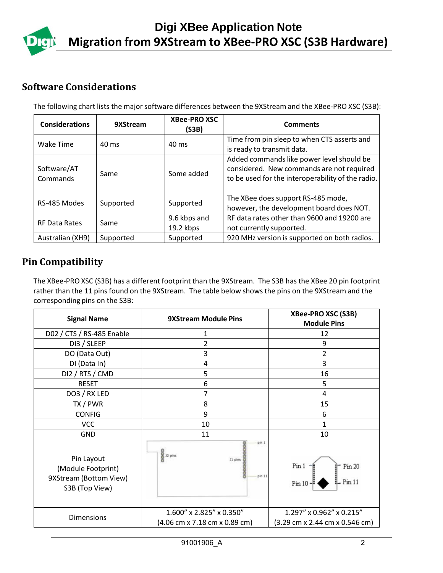

## **Software Considerations**

The following chart lists the major software differences between the 9XStream and the XBee-PRO XSC (S3B):

| <b>Considerations</b>   | 9XStream  | <b>XBee-PRO XSC</b><br>(S3B)                                                                         | <b>Comments</b>                                                                                                                             |  |
|-------------------------|-----------|------------------------------------------------------------------------------------------------------|---------------------------------------------------------------------------------------------------------------------------------------------|--|
| Wake Time               | 40 ms     | 40 ms                                                                                                | Time from pin sleep to when CTS asserts and<br>is ready to transmit data.                                                                   |  |
| Software/AT<br>Commands | Same      | Some added                                                                                           | Added commands like power level should be<br>considered. New commands are not required<br>to be used for the interoperability of the radio. |  |
| RS-485 Modes            | Supported | Supported                                                                                            | The XBee does support RS-485 mode,<br>however, the development board does NOT.                                                              |  |
| <b>RF Data Rates</b>    | Same      | RF data rates other than 9600 and 19200 are<br>9.6 kbps and<br>19.2 kbps<br>not currently supported. |                                                                                                                                             |  |
| Australian (XH9)        | Supported | Supported                                                                                            | 920 MHz version is supported on both radios.                                                                                                |  |

## **Pin Compatibility**

The XBee-PRO XSC (S3B) has a different footprint than the 9XStream. The S3B has the XBee 20 pin footprint rather than the 11 pins found on the 9XStream. The table below shows the pins on the 9XStream and the corresponding pins on the S3B:

|                                                                                |                                                     | XBee-PRO XSC (S3B)                                                                             |
|--------------------------------------------------------------------------------|-----------------------------------------------------|------------------------------------------------------------------------------------------------|
| <b>Signal Name</b>                                                             | <b>9XStream Module Pins</b>                         | <b>Module Pins</b>                                                                             |
| D02 / CTS / RS-485 Enable                                                      | 1                                                   | 12                                                                                             |
| DI3 / SLEEP                                                                    | 2                                                   | 9                                                                                              |
| DO (Data Out)                                                                  | 3                                                   | $\overline{2}$                                                                                 |
| DI (Data In)                                                                   | 4                                                   | 3                                                                                              |
| DI2 / RTS / CMD                                                                | 5                                                   | 16                                                                                             |
| <b>RESET</b>                                                                   | 6                                                   | 5                                                                                              |
| DO3 / RX LED                                                                   | 7                                                   | 4                                                                                              |
| TX / PWR                                                                       | 8                                                   | 15                                                                                             |
| <b>CONFIG</b>                                                                  | 9                                                   | 6                                                                                              |
| <b>VCC</b>                                                                     | 10                                                  | 1                                                                                              |
| GND                                                                            | 11                                                  | 10                                                                                             |
| Pin Layout<br>(Module Footprint)<br>9XStream (Bottom View)<br>S3B (Top View)   | pin 1<br><b>8</b><br>8 12 pins<br>31 pins<br>pin 11 | Pin 1<br>Pin 20<br>Pin 11<br>Pin 10                                                            |
| 1.600" x 2.825" x 0.350"<br><b>Dimensions</b><br>(4.06 cm x 7.18 cm x 0.89 cm) |                                                     | 1.297" x 0.962" x 0.215"<br>$(3.29 \text{ cm} \times 2.44 \text{ cm} \times 0.546 \text{ cm})$ |